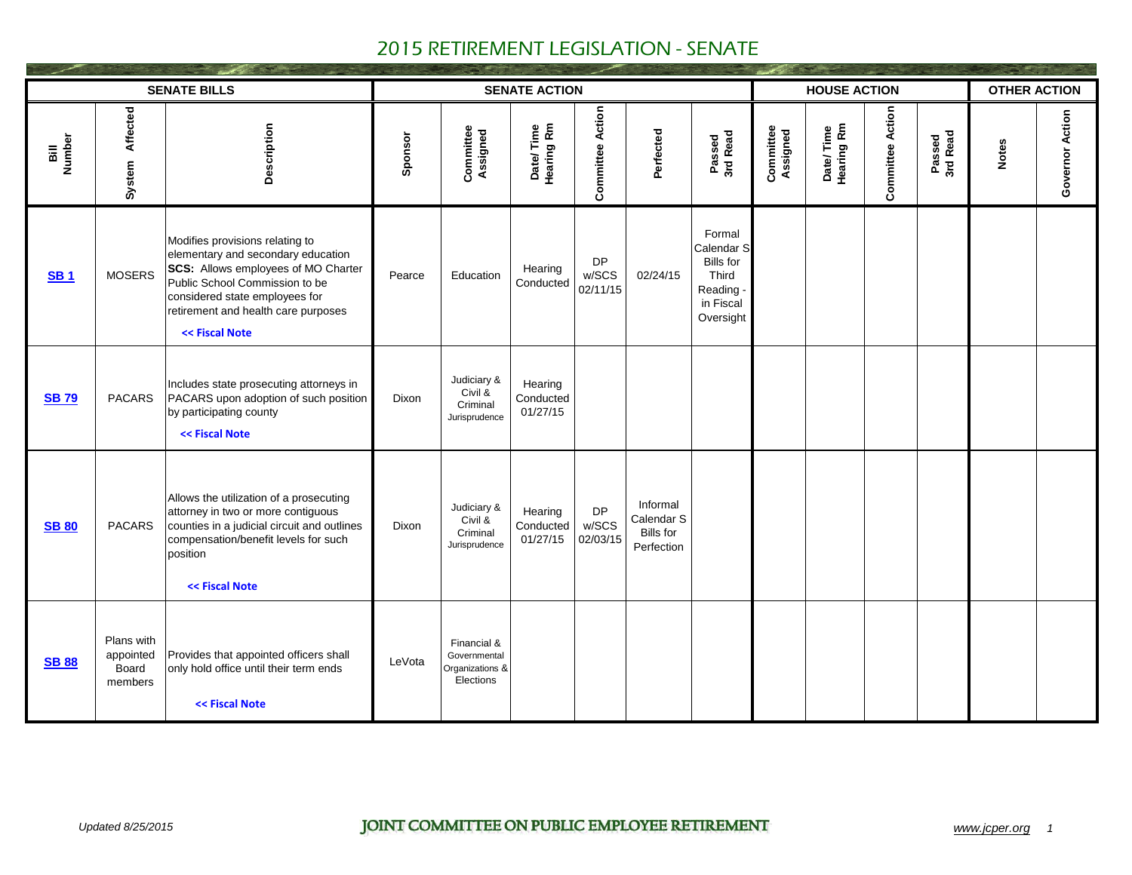|               |                                             | <b>SENATE BILLS</b>                                                                                                                                                                                                                       |         |                                                             | <b>SENATE ACTION</b>             |                                |                                                   |                                                                                          |                       | <b>HOUSE ACTION</b>     |                         |                    | <b>OTHER ACTION</b> |                 |
|---------------|---------------------------------------------|-------------------------------------------------------------------------------------------------------------------------------------------------------------------------------------------------------------------------------------------|---------|-------------------------------------------------------------|----------------------------------|--------------------------------|---------------------------------------------------|------------------------------------------------------------------------------------------|-----------------------|-------------------------|-------------------------|--------------------|---------------------|-----------------|
| Number<br>ail | Affected<br>System                          | Description                                                                                                                                                                                                                               | Sponsor | Committee<br>Assigned                                       | Date/Time<br>Hearing Rm          | <b>Committee Action</b>        | Perfected                                         | Passed<br>3rd Read                                                                       | Committee<br>Assigned | Date/Time<br>Hearing Rm | <b>Committee Action</b> | Passed<br>3rd Read | <b>Notes</b>        | Governor Action |
| <b>SB1</b>    | <b>MOSERS</b>                               | Modifies provisions relating to<br>elementary and secondary education<br>SCS: Allows employees of MO Charter<br>Public School Commission to be<br>considered state employees for<br>retirement and health care purposes<br><< Fiscal Note | Pearce  | Education                                                   | Hearing<br>Conducted             | <b>DP</b><br>w/SCS<br>02/11/15 | 02/24/15                                          | Formal<br>Calendar S<br><b>Bills for</b><br>Third<br>Reading .<br>in Fiscal<br>Oversight |                       |                         |                         |                    |                     |                 |
| <b>SB79</b>   | <b>PACARS</b>                               | Includes state prosecuting attorneys in<br>PACARS upon adoption of such position<br>by participating county<br><< Fiscal Note                                                                                                             | Dixon   | Judiciary &<br>Civil &<br>Criminal<br>Jurisprudence         | Hearing<br>Conducted<br>01/27/15 |                                |                                                   |                                                                                          |                       |                         |                         |                    |                     |                 |
| <b>SB 80</b>  | <b>PACARS</b>                               | Allows the utilization of a prosecuting<br>attorney in two or more contiguous<br>counties in a judicial circuit and outlines<br>compensation/benefit levels for such<br>position<br><< Fiscal Note                                        | Dixon   | Judiciary &<br>Civil &<br>Criminal<br>Jurisprudence         | Hearing<br>Conducted<br>01/27/15 | <b>DP</b><br>w/SCS<br>02/03/15 | Informal<br>Calendar S<br>Bills for<br>Perfection |                                                                                          |                       |                         |                         |                    |                     |                 |
| <b>SB 88</b>  | Plans with<br>appointed<br>Board<br>members | Provides that appointed officers shall<br>only hold office until their term ends<br><< Fiscal Note                                                                                                                                        | LeVota  | Financial &<br>Governmental<br>Organizations &<br>Elections |                                  |                                |                                                   |                                                                                          |                       |                         |                         |                    |                     |                 |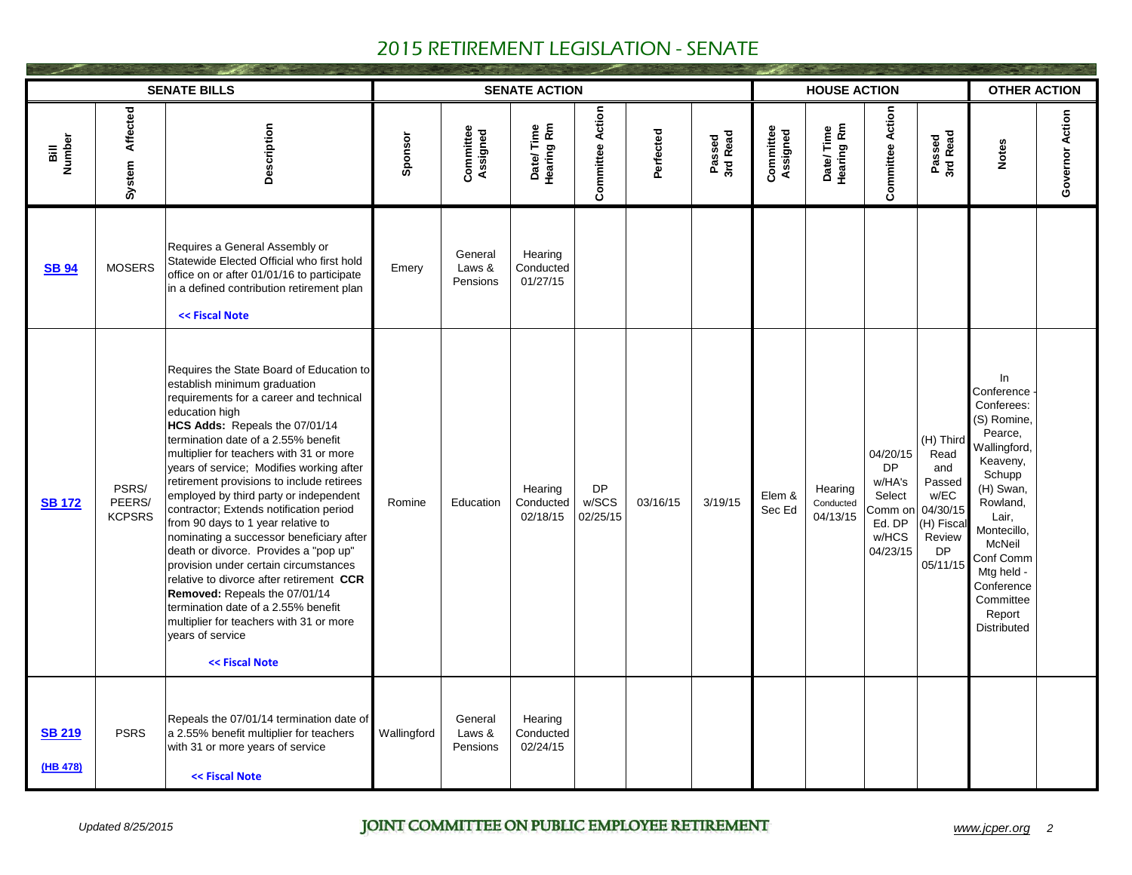|                           |                                  | <b>SENATE BILLS</b>                                                                                                                                                                                                                                                                                                                                                                                                                                                                                                                                                                                                                                                                                                                                                                                              |             |                               | <b>SENATE ACTION</b>             |                                |           |                    |                       | <b>HOUSE ACTION</b>              |                                                                                     |                                                                                                 | <b>OTHER ACTION</b>                                                                                                                                                                                                                      |                 |
|---------------------------|----------------------------------|------------------------------------------------------------------------------------------------------------------------------------------------------------------------------------------------------------------------------------------------------------------------------------------------------------------------------------------------------------------------------------------------------------------------------------------------------------------------------------------------------------------------------------------------------------------------------------------------------------------------------------------------------------------------------------------------------------------------------------------------------------------------------------------------------------------|-------------|-------------------------------|----------------------------------|--------------------------------|-----------|--------------------|-----------------------|----------------------------------|-------------------------------------------------------------------------------------|-------------------------------------------------------------------------------------------------|------------------------------------------------------------------------------------------------------------------------------------------------------------------------------------------------------------------------------------------|-----------------|
| Number<br>ail             | Affected<br>System               | Description                                                                                                                                                                                                                                                                                                                                                                                                                                                                                                                                                                                                                                                                                                                                                                                                      | Sponsor     | Committee<br>Assigned         | Date/Time<br>Hearing Rm          | <b>Committee Action</b>        | Perfected | Passed<br>3rd Read | Committee<br>Assigned | Date/Time<br>Hearing Rm          | <b>Committee Action</b>                                                             | Passed<br>3rd Read                                                                              | <b>Notes</b>                                                                                                                                                                                                                             | Governor Action |
| <b>SB 94</b>              | <b>MOSERS</b>                    | Requires a General Assembly or<br>Statewide Elected Official who first hold<br>office on or after 01/01/16 to participate<br>in a defined contribution retirement plan<br><< Fiscal Note                                                                                                                                                                                                                                                                                                                                                                                                                                                                                                                                                                                                                         | Emery       | General<br>Laws &<br>Pensions | Hearing<br>Conducted<br>01/27/15 |                                |           |                    |                       |                                  |                                                                                     |                                                                                                 |                                                                                                                                                                                                                                          |                 |
| <b>SB 172</b>             | PSRS/<br>PEERS/<br><b>KCPSRS</b> | Requires the State Board of Education to<br>establish minimum graduation<br>requirements for a career and technical<br>education high<br>HCS Adds: Repeals the 07/01/14<br>termination date of a 2.55% benefit<br>multiplier for teachers with 31 or more<br>years of service; Modifies working after<br>retirement provisions to include retirees<br>employed by third party or independent<br>contractor; Extends notification period<br>from 90 days to 1 year relative to<br>nominating a successor beneficiary after<br>death or divorce. Provides a "pop up"<br>provision under certain circumstances<br>relative to divorce after retirement CCR<br>Removed: Repeals the 07/01/14<br>termination date of a 2.55% benefit<br>multiplier for teachers with 31 or more<br>vears of service<br><< Fiscal Note | Romine      | Education                     | Hearing<br>Conducted<br>02/18/15 | <b>DP</b><br>w/SCS<br>02/25/15 | 03/16/15  | 3/19/15            | Elem &<br>Sec Ed      | Hearing<br>Conducted<br>04/13/15 | 04/20/15<br><b>DP</b><br>w/HA's<br>Select<br>Comm on<br>Ed. DP<br>w/HCS<br>04/23/15 | (H) Third<br>Read<br>and<br>Passed<br>w/EC<br>04/30/15<br>(H) Fisca<br>Review<br>DP<br>05/11/15 | In<br>Conference<br>Conferees:<br>(S) Romine,<br>Pearce,<br>Wallingford.<br>Keaveny,<br>Schupp<br>(H) Swan,<br>Rowland,<br>Lair,<br>Montecillo,<br>McNeil<br>Conf Comm<br>Mtg held -<br>Conference<br>Committee<br>Report<br>Distributed |                 |
| <b>SB 219</b><br>(HB 478) | <b>PSRS</b>                      | Repeals the 07/01/14 termination date of<br>a 2.55% benefit multiplier for teachers<br>with 31 or more years of service<br><< Fiscal Note                                                                                                                                                                                                                                                                                                                                                                                                                                                                                                                                                                                                                                                                        | Wallingford | General<br>Laws &<br>Pensions | Hearing<br>Conducted<br>02/24/15 |                                |           |                    |                       |                                  |                                                                                     |                                                                                                 |                                                                                                                                                                                                                                          |                 |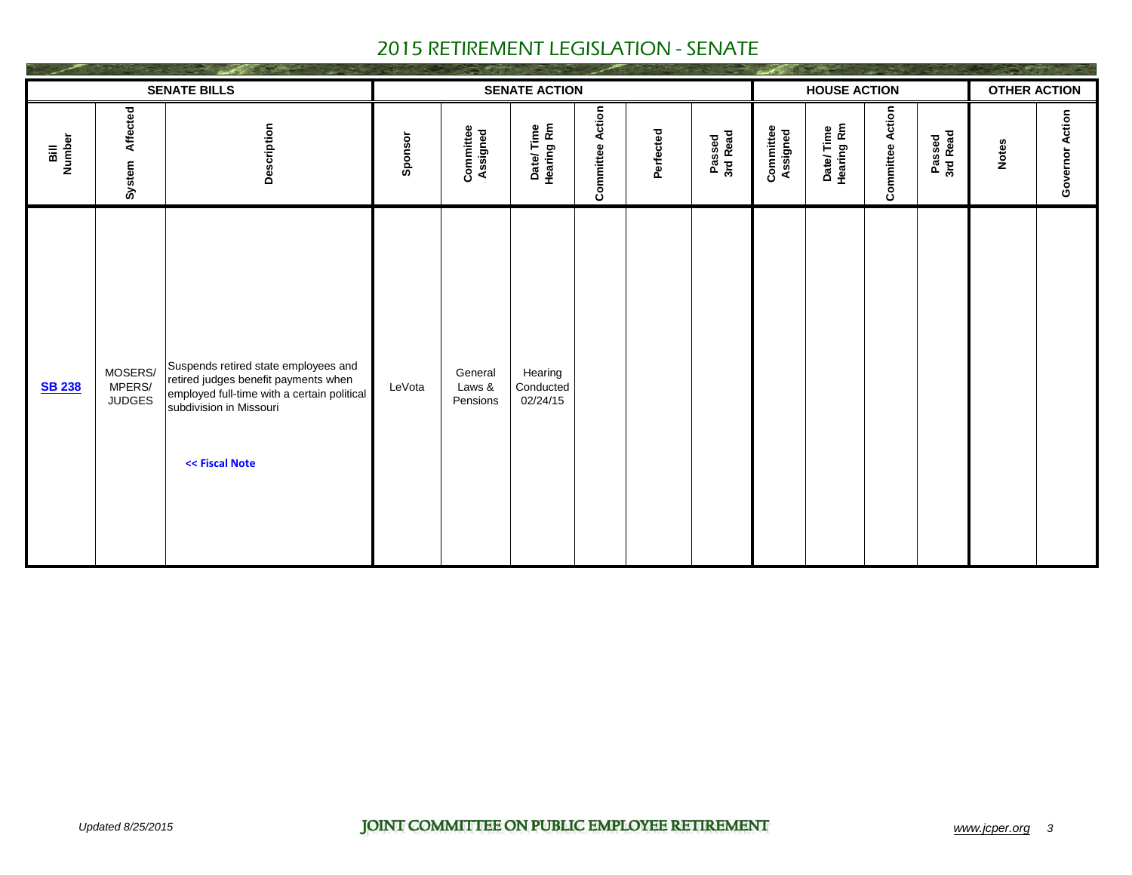|                |                                    | <b>SENATE BILLS</b>                                                                                                                                                      |         |                               | <b>SENATE ACTION</b>             |                         |           |                    |                       | <b>HOUSE ACTION</b>     |                         |                    | <b>OTHER ACTION</b> |                 |
|----------------|------------------------------------|--------------------------------------------------------------------------------------------------------------------------------------------------------------------------|---------|-------------------------------|----------------------------------|-------------------------|-----------|--------------------|-----------------------|-------------------------|-------------------------|--------------------|---------------------|-----------------|
| Bill<br>Number | Affected<br>System                 | Description                                                                                                                                                              | Sponsor | Committee<br>Assigned         | Date/Time<br>Hearing Rm          | <b>Committee Action</b> | Perfected | Passed<br>3rd Read | Committee<br>Assigned | Date/Time<br>Hearing Rm | <b>Committee Action</b> | Passed<br>3rd Read | <b>Notes</b>        | Governor Action |
| <b>SB 238</b>  | MOSERS/<br>MPERS/<br><b>JUDGES</b> | Suspends retired state employees and<br>retired judges benefit payments when<br>employed full-time with a certain political<br>subdivision in Missouri<br><< Fiscal Note | LeVota  | General<br>Laws &<br>Pensions | Hearing<br>Conducted<br>02/24/15 |                         |           |                    |                       |                         |                         |                    |                     |                 |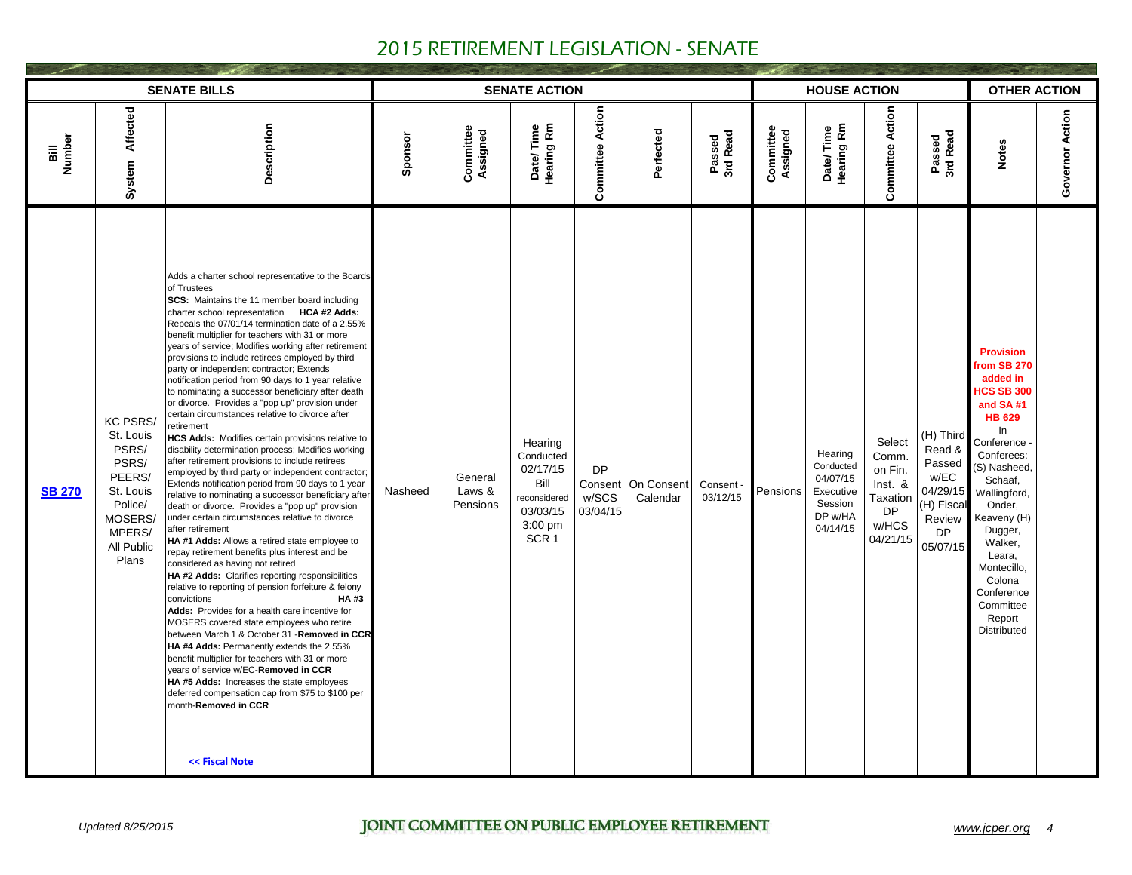|                |                                                                                                                              | <b>SENATE BILLS</b>                                                                                                                                                                                                                                                                                                                                                                                                                                                                                                                                                                                                                                                                                                                                                                                                                                                                                                                                                                                                                                                                                                                                                                                                                                                                                                                                                                                                                                                                                                                                                                                                                                                                                                                                                                                                                            |         |                               | <b>SENATE ACTION</b>                                                                                  |                                |                                  |                       |                       | <b>HOUSE ACTION</b>                                                             |                                                                                     |                                                                                              | <b>OTHER ACTION</b>                                                                                                                                                                                                                                                                                                      |                 |
|----------------|------------------------------------------------------------------------------------------------------------------------------|------------------------------------------------------------------------------------------------------------------------------------------------------------------------------------------------------------------------------------------------------------------------------------------------------------------------------------------------------------------------------------------------------------------------------------------------------------------------------------------------------------------------------------------------------------------------------------------------------------------------------------------------------------------------------------------------------------------------------------------------------------------------------------------------------------------------------------------------------------------------------------------------------------------------------------------------------------------------------------------------------------------------------------------------------------------------------------------------------------------------------------------------------------------------------------------------------------------------------------------------------------------------------------------------------------------------------------------------------------------------------------------------------------------------------------------------------------------------------------------------------------------------------------------------------------------------------------------------------------------------------------------------------------------------------------------------------------------------------------------------------------------------------------------------------------------------------------------------|---------|-------------------------------|-------------------------------------------------------------------------------------------------------|--------------------------------|----------------------------------|-----------------------|-----------------------|---------------------------------------------------------------------------------|-------------------------------------------------------------------------------------|----------------------------------------------------------------------------------------------|--------------------------------------------------------------------------------------------------------------------------------------------------------------------------------------------------------------------------------------------------------------------------------------------------------------------------|-----------------|
| Bill<br>Number | Affected<br>System                                                                                                           | Description                                                                                                                                                                                                                                                                                                                                                                                                                                                                                                                                                                                                                                                                                                                                                                                                                                                                                                                                                                                                                                                                                                                                                                                                                                                                                                                                                                                                                                                                                                                                                                                                                                                                                                                                                                                                                                    | Sponsor | Committee<br>Assigned         | Date/Time<br>Hearing Rm                                                                               | <b>Committee Action</b>        | Perfected                        | Passed<br>3rd Read    | Committee<br>Assigned | Date/Time<br>Hearing Rm                                                         | <b>Committee Action</b>                                                             | Passed<br>3rd Read                                                                           | <b>Notes</b>                                                                                                                                                                                                                                                                                                             | Governor Action |
| <b>SB 270</b>  | <b>KC PSRS/</b><br>St. Louis<br>PSRS/<br>PSRS/<br>PEERS/<br>St. Louis<br>Police/<br>MOSERS/<br>MPERS/<br>All Public<br>Plans | Adds a charter school representative to the Boards<br>of Trustees<br>SCS: Maintains the 11 member board including<br>charter school representation HCA #2 Adds:<br>Repeals the 07/01/14 termination date of a 2.55%<br>benefit multiplier for teachers with 31 or more<br>years of service; Modifies working after retirement<br>provisions to include retirees employed by third<br>party or independent contractor; Extends<br>notification period from 90 days to 1 year relative<br>to nominating a successor beneficiary after death<br>or divorce. Provides a "pop up" provision under<br>certain circumstances relative to divorce after<br>retirement<br>HCS Adds: Modifies certain provisions relative to<br>disability determination process; Modifies working<br>after retirement provisions to include retirees<br>employed by third party or independent contractor;<br>Extends notification period from 90 days to 1 year<br>relative to nominating a successor beneficiary after<br>death or divorce. Provides a "pop up" provision<br>under certain circumstances relative to divorce<br>after retirement<br>HA #1 Adds: Allows a retired state employee to<br>repay retirement benefits plus interest and be<br>considered as having not retired<br>HA #2 Adds: Clarifies reporting responsibilities<br>relative to reporting of pension forfeiture & felony<br>convictions<br><b>HA#3</b><br>Adds: Provides for a health care incentive for<br>MOSERS covered state employees who retire<br>between March 1 & October 31 - Removed in CCR<br>HA #4 Adds: Permanently extends the 2.55%<br>benefit multiplier for teachers with 31 or more<br>years of service w/EC-Removed in CCR<br>HA #5 Adds: Increases the state employees<br>deferred compensation cap from \$75 to \$100 per<br>month-Removed in CCR<br><< Fiscal Note | Nasheed | General<br>Laws &<br>Pensions | Hearing<br>Conducted<br>02/17/15<br>Bill<br>reconsidered<br>03/03/15<br>$3:00$ pm<br>SCR <sub>1</sub> | <b>DP</b><br>w/SCS<br>03/04/15 | Consent   On Consent<br>Calendar | Consent -<br>03/12/15 | Pensions              | Hearing<br>Conducted<br>04/07/15<br>Executive<br>Session<br>DP w/HA<br>04/14/15 | Select<br>Comm.<br>on Fin.<br>Inst. &<br>Taxation<br><b>DP</b><br>w/HCS<br>04/21/15 | (H) Third<br>Read &<br>Passed<br>w/EC<br>04/29/15<br>(H) Fiscal<br>Review<br>DP.<br>05/07/15 | <b>Provision</b><br>from SB 270<br>added in<br><b>HCS SB 300</b><br>and SA#1<br><b>HB 629</b><br>ln.<br>Conference<br>Conferees:<br>(S) Nasheed,<br>Schaaf,<br>Wallingford,<br>Onder.<br>Keaveny (H)<br>Dugger,<br>Walker,<br>Leara,<br>Montecillo,<br>Colona<br>Conference<br>Committee<br>Report<br><b>Distributed</b> |                 |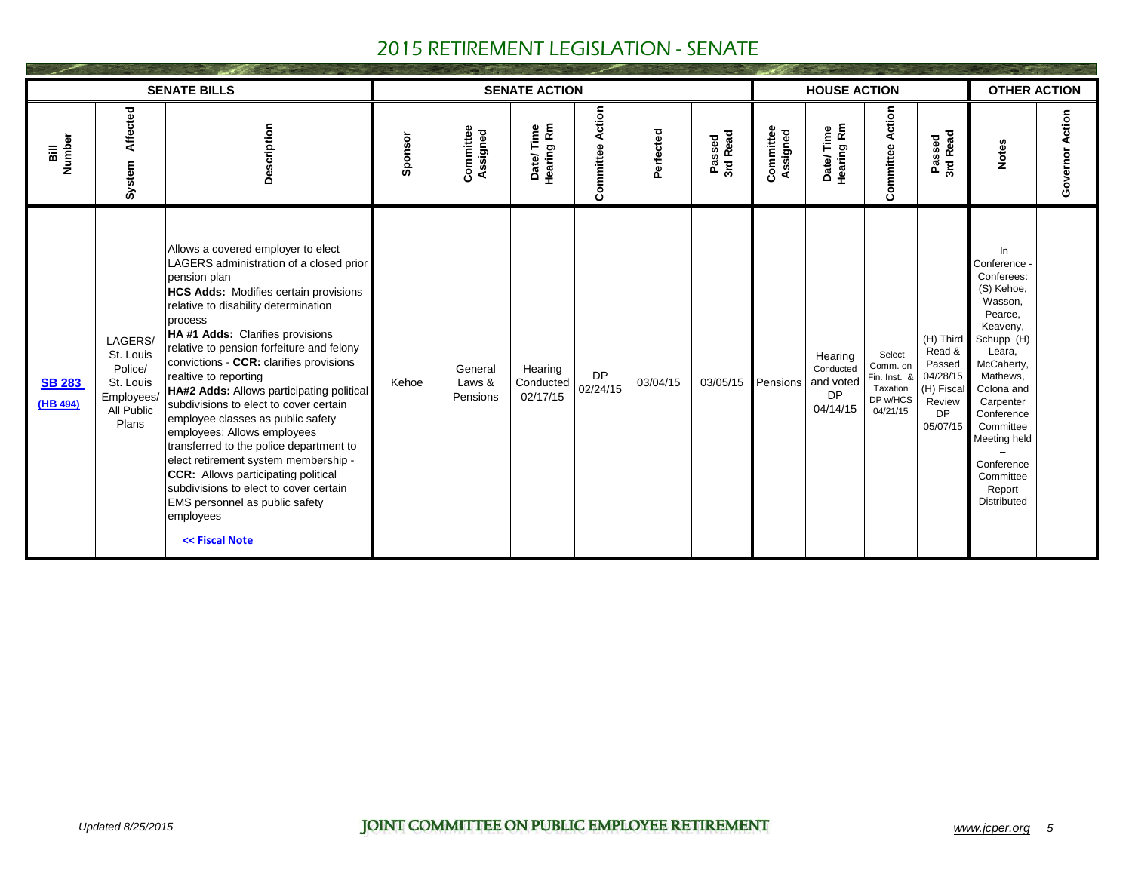|                           |                                                                                   | <b>SENATE BILLS</b>                                                                                                                                                                                                                                                                                                                                                                                                                                                                                                                                                                                                                                                                                                                                  |         |                               | <b>SENATE ACTION</b>             |                         |           |                    |                       | <b>HOUSE ACTION</b>                                        |                                                                        |                                                                                     | <b>OTHER ACTION</b>                                                                                                                                                                                                                                               |                 |
|---------------------------|-----------------------------------------------------------------------------------|------------------------------------------------------------------------------------------------------------------------------------------------------------------------------------------------------------------------------------------------------------------------------------------------------------------------------------------------------------------------------------------------------------------------------------------------------------------------------------------------------------------------------------------------------------------------------------------------------------------------------------------------------------------------------------------------------------------------------------------------------|---------|-------------------------------|----------------------------------|-------------------------|-----------|--------------------|-----------------------|------------------------------------------------------------|------------------------------------------------------------------------|-------------------------------------------------------------------------------------|-------------------------------------------------------------------------------------------------------------------------------------------------------------------------------------------------------------------------------------------------------------------|-----------------|
| Number<br>5il             | Affected<br>System                                                                | Description                                                                                                                                                                                                                                                                                                                                                                                                                                                                                                                                                                                                                                                                                                                                          | Sponsor | Committee<br>Assigned         | Date/Time<br>Hearing Rm          | <b>Committee Action</b> | Perfected | 3rd Read<br>Passed | Committee<br>Assigned | Date/Time<br>Hearing Rm                                    | <b>Committee Action</b>                                                | 3rd Read<br>Passed                                                                  | <b>Notes</b>                                                                                                                                                                                                                                                      | Governor Action |
| <b>SB 283</b><br>(HB 494) | LAGERS/<br>St. Louis<br>Police/<br>St. Louis<br>Employees/<br>All Public<br>Plans | Allows a covered employer to elect<br>LAGERS administration of a closed prior<br>pension plan<br>HCS Adds: Modifies certain provisions<br>relative to disability determination<br>process<br>HA#1 Adds: Clarifies provisions<br>relative to pension forfeiture and felony<br>convictions - CCR: clarifies provisions<br>realtive to reporting<br>HA#2 Adds: Allows participating political<br>subdivisions to elect to cover certain<br>employee classes as public safety<br>employees; Allows employees<br>transferred to the police department to<br>elect retirement system membership -<br><b>CCR:</b> Allows participating political<br>subdivisions to elect to cover certain<br>EMS personnel as public safety<br>employees<br><< Fiscal Note | Kehoe   | General<br>Laws &<br>Pensions | Hearing<br>Conducted<br>02/17/15 | <b>DP</b><br>02/24/15   | 03/04/15  | 03/05/15           | Pensions              | Hearing<br>Conducted<br>and voted<br><b>DP</b><br>04/14/15 | Select<br>Comm. on<br>Fin. Inst. &<br>Taxation<br>DP w/HCS<br>04/21/15 | (H) Third<br>Read &<br>Passed<br>04/28/15<br>(H) Fiscal<br>Review<br>DP<br>05/07/15 | In<br>Conference<br>Conferees:<br>(S) Kehoe,<br>Wasson,<br>Pearce,<br>Keaveny,<br>Schupp (H)<br>Leara,<br>McCaherty,<br>Mathews,<br>Colona and<br>Carpenter<br>Conference<br>Committee<br>Meeting held<br>Conference<br>Committee<br>Report<br><b>Distributed</b> |                 |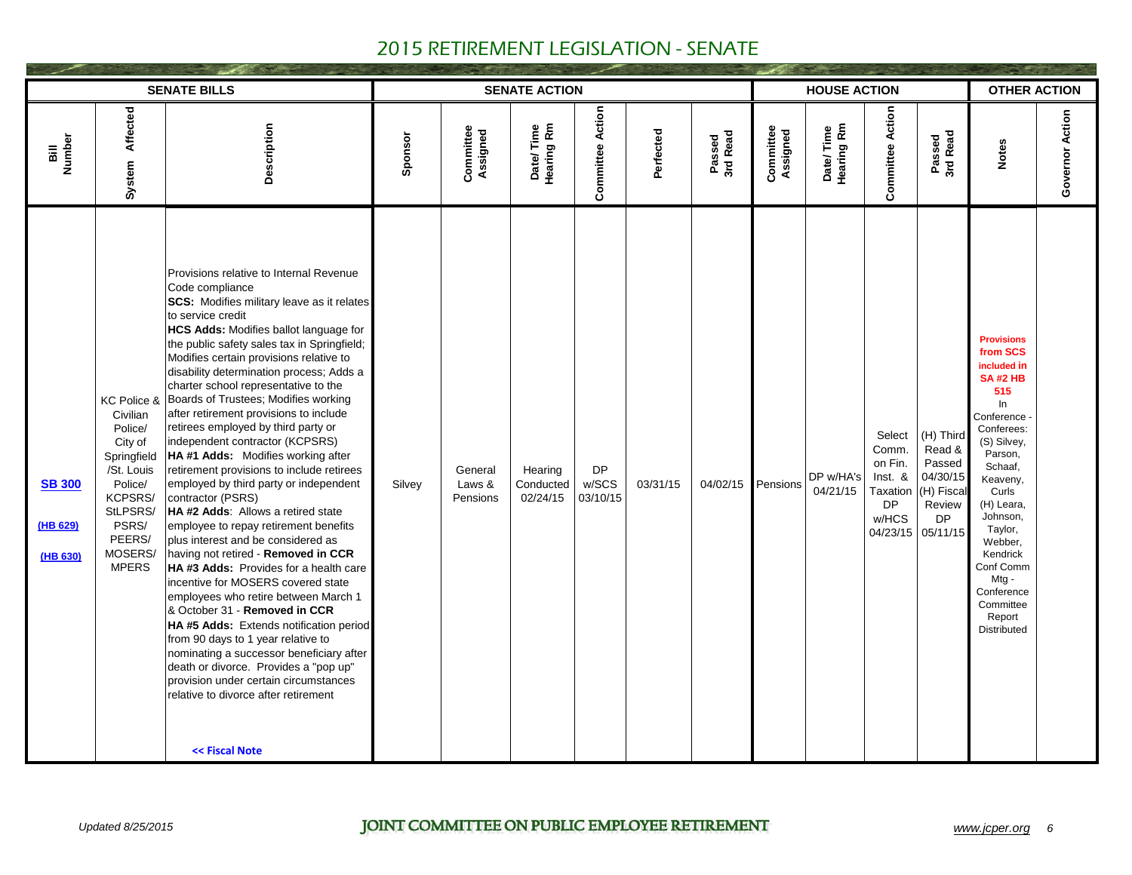|                                       |                                                                                                                                                            | <b>SENATE BILLS</b>                                                                                                                                                                                                                                                                                                                                                                                                                                                                                                                                                                                                                                                                                                                                                                                                                                                                                                                                                                                                                                                                                                                                                                                                                                                           |         |                               | <b>SENATE ACTION</b>             |                                |           |                    |                       | <b>HOUSE ACTION</b>     |                                                                                     |                                                                                     | <b>OTHER ACTION</b>                                                                                                                                                                                                                                                                                     |                 |
|---------------------------------------|------------------------------------------------------------------------------------------------------------------------------------------------------------|-------------------------------------------------------------------------------------------------------------------------------------------------------------------------------------------------------------------------------------------------------------------------------------------------------------------------------------------------------------------------------------------------------------------------------------------------------------------------------------------------------------------------------------------------------------------------------------------------------------------------------------------------------------------------------------------------------------------------------------------------------------------------------------------------------------------------------------------------------------------------------------------------------------------------------------------------------------------------------------------------------------------------------------------------------------------------------------------------------------------------------------------------------------------------------------------------------------------------------------------------------------------------------|---------|-------------------------------|----------------------------------|--------------------------------|-----------|--------------------|-----------------------|-------------------------|-------------------------------------------------------------------------------------|-------------------------------------------------------------------------------------|---------------------------------------------------------------------------------------------------------------------------------------------------------------------------------------------------------------------------------------------------------------------------------------------------------|-----------------|
| Number<br>ili B                       | Affected<br>System                                                                                                                                         | Description                                                                                                                                                                                                                                                                                                                                                                                                                                                                                                                                                                                                                                                                                                                                                                                                                                                                                                                                                                                                                                                                                                                                                                                                                                                                   | Sponsor | Committee<br>Assigned         | Date/Time<br>Hearing Rm          | <b>Committee Action</b>        | Perfected | Passed<br>3rd Read | Committee<br>Assigned | Date/Time<br>Hearing Rm | <b>Committee Action</b>                                                             | Passed<br>3rd Read                                                                  | <b>Notes</b>                                                                                                                                                                                                                                                                                            | Governor Action |
| <b>SB 300</b><br>(HB 629)<br>(HB 630) | KC Police &<br>Civilian<br>Police/<br>City of<br>Springfield<br>/St. Louis<br>Police/<br>KCPSRS/<br>StLPSRS/<br>PSRS/<br>PEERS/<br>MOSERS/<br><b>MPERS</b> | Provisions relative to Internal Revenue<br>Code compliance<br>SCS: Modifies military leave as it relates<br>to service credit<br><b>HCS Adds: Modifies ballot language for</b><br>the public safety sales tax in Springfield;<br>Modifies certain provisions relative to<br>disability determination process; Adds a<br>charter school representative to the<br>Boards of Trustees; Modifies working<br>after retirement provisions to include<br>retirees employed by third party or<br>independent contractor (KCPSRS)<br>HA #1 Adds: Modifies working after<br>retirement provisions to include retirees<br>employed by third party or independent<br>contractor (PSRS)<br>HA#2 Adds: Allows a retired state<br>employee to repay retirement benefits<br>plus interest and be considered as<br>having not retired - Removed in CCR<br><b>HA#3 Adds: Provides for a health care</b><br>incentive for MOSERS covered state<br>employees who retire between March 1<br>& October 31 - Removed in CCR<br>HA #5 Adds: Extends notification period<br>from 90 days to 1 year relative to<br>nominating a successor beneficiary after<br>death or divorce. Provides a "pop up"<br>provision under certain circumstances<br>relative to divorce after retirement<br><< Fiscal Note | Silvey  | General<br>Laws &<br>Pensions | Hearing<br>Conducted<br>02/24/15 | <b>DP</b><br>w/SCS<br>03/10/15 | 03/31/15  | 04/02/15           | Pensions              | DP w/HA's<br>04/21/15   | Select<br>Comm.<br>on Fin.<br>Inst. &<br>Taxation<br><b>DP</b><br>w/HCS<br>04/23/15 | (H) Third<br>Read &<br>Passed<br>04/30/15<br>(H) Fiscal<br>Review<br>DP<br>05/11/15 | <b>Provisions</b><br>from SCS<br>included in<br><b>SA#2 HB</b><br>515<br>In<br>Conference<br>Conferees:<br>(S) Silvey,<br>Parson,<br>Schaaf,<br>Keaveny,<br>Curls<br>(H) Leara,<br>Johnson,<br>Taylor,<br>Webber,<br>Kendrick<br>Conf Comm<br>Mtg -<br>Conference<br>Committee<br>Report<br>Distributed |                 |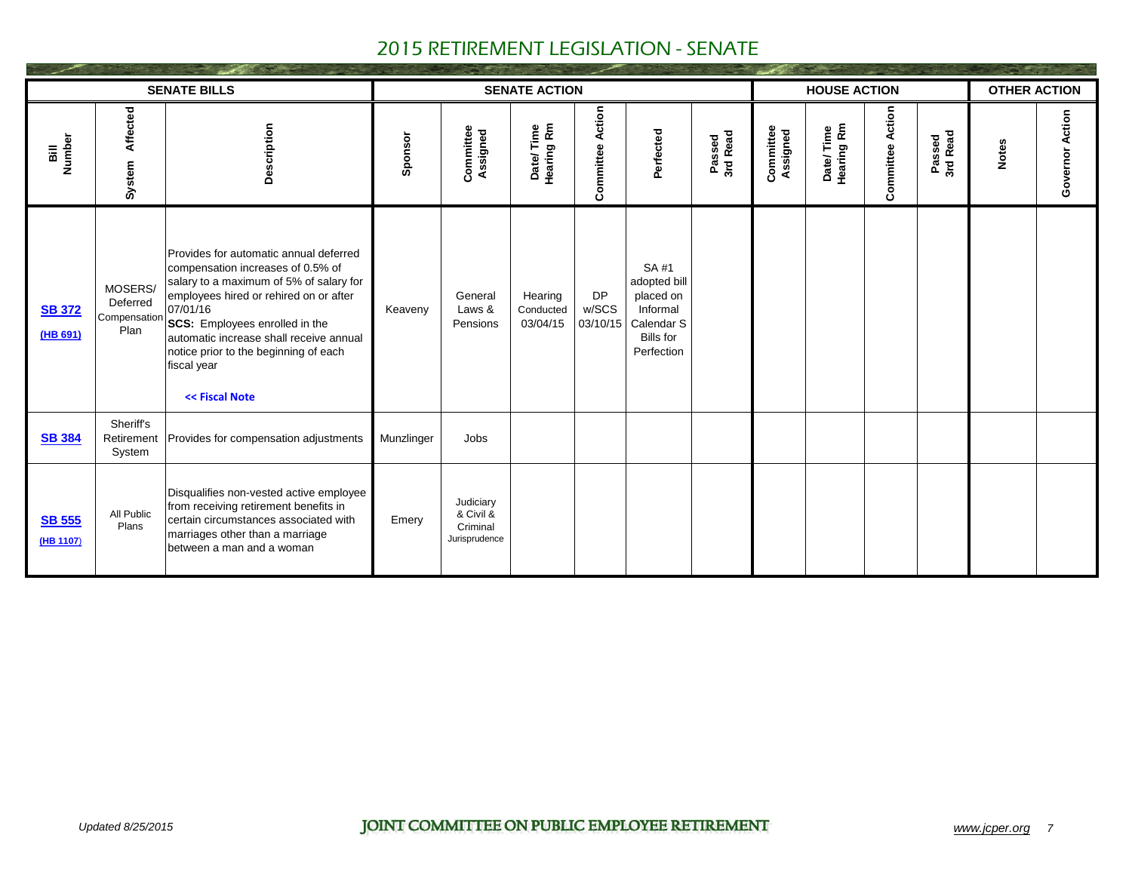|                            |                                             | <b>SENATE BILLS</b>                                                                                                                                                                                                                                                                                                                 |            |                                                     | <b>SENATE ACTION</b>             |                                |                                                                                                |                    |                       | <b>HOUSE ACTION</b>     |                         |                    | <b>OTHER ACTION</b> |                 |
|----------------------------|---------------------------------------------|-------------------------------------------------------------------------------------------------------------------------------------------------------------------------------------------------------------------------------------------------------------------------------------------------------------------------------------|------------|-----------------------------------------------------|----------------------------------|--------------------------------|------------------------------------------------------------------------------------------------|--------------------|-----------------------|-------------------------|-------------------------|--------------------|---------------------|-----------------|
| Number<br>ail              | Affected<br>System                          | Description                                                                                                                                                                                                                                                                                                                         | Sponsor    | Committee<br>Assigned                               | Date/Time<br>Hearing Rm          | <b>Committee Action</b>        | Perfected                                                                                      | Passed<br>3rd Read | Committee<br>Assigned | Date/Time<br>Hearing Rm | <b>Committee Action</b> | Passed<br>3rd Read | <b>Notes</b>        | Governor Action |
| <b>SB 372</b><br>(HB 691)  | MOSERS/<br>Deferred<br>Compensation<br>Plan | Provides for automatic annual deferred<br>compensation increases of 0.5% of<br>salary to a maximum of 5% of salary for<br>employees hired or rehired on or after<br>07/01/16<br>SCS: Employees enrolled in the<br>automatic increase shall receive annual<br>notice prior to the beginning of each<br>fiscal year<br><< Fiscal Note | Keaveny    | General<br>Laws &<br>Pensions                       | Hearing<br>Conducted<br>03/04/15 | <b>DP</b><br>w/SCS<br>03/10/15 | SA #1<br>adopted bill<br>placed on<br>Informal<br>Calendar S<br><b>Bills for</b><br>Perfection |                    |                       |                         |                         |                    |                     |                 |
| <b>SB 384</b>              | Sheriff's<br>Retirement<br>System           | Provides for compensation adjustments                                                                                                                                                                                                                                                                                               | Munzlinger | Jobs                                                |                                  |                                |                                                                                                |                    |                       |                         |                         |                    |                     |                 |
| <b>SB 555</b><br>(HB 1107) | All Public<br>Plans                         | Disqualifies non-vested active employee<br>from receiving retirement benefits in<br>certain circumstances associated with<br>marriages other than a marriage<br>between a man and a woman                                                                                                                                           | Emery      | Judiciary<br>& Civil &<br>Criminal<br>Jurisprudence |                                  |                                |                                                                                                |                    |                       |                         |                         |                    |                     |                 |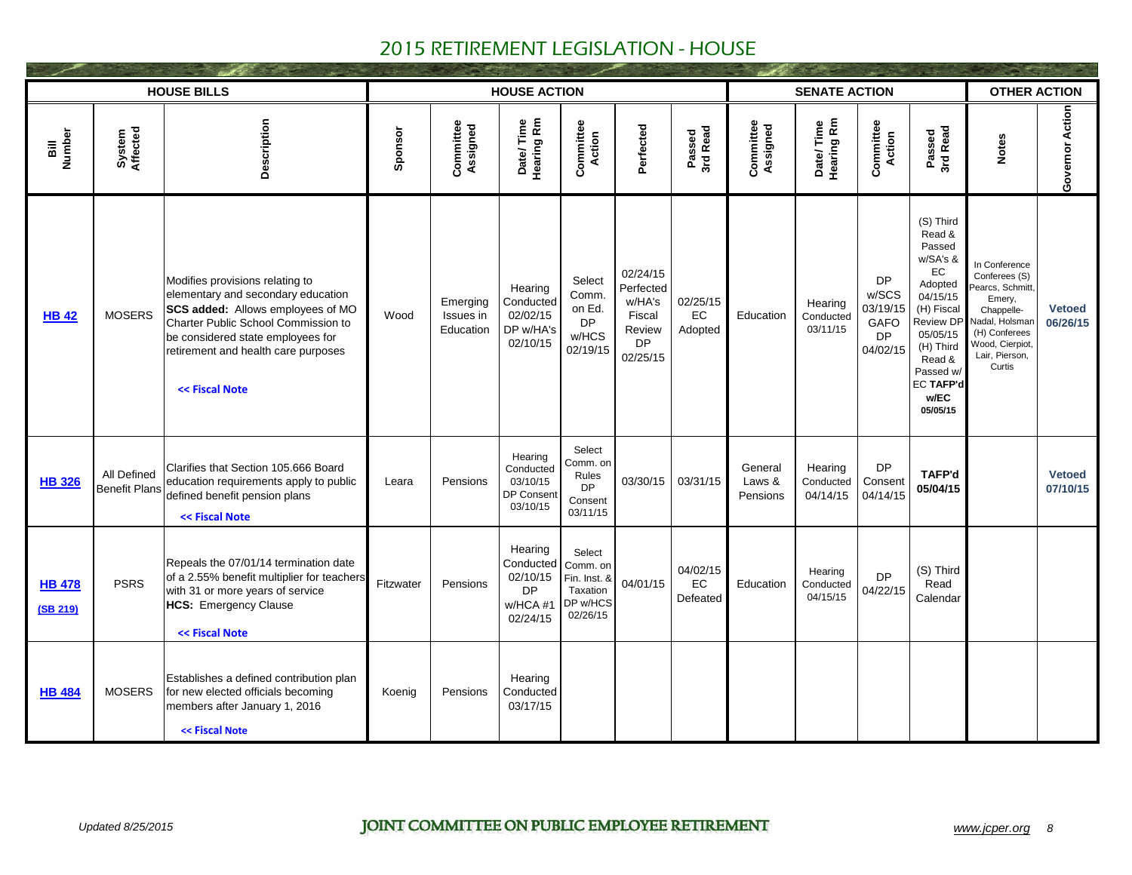|                           |                                     | <b>HOUSE BILLS</b>                                                                                                                                                                                                                              |           |                                    | <b>HOUSE ACTION</b>                                            |                                                                        |                                                                              |                            |                               | <b>SENATE ACTION</b>             |                                                                 |                                                                                                                                                                                           | <b>OTHER ACTION</b>                                                                                                                                          |                           |
|---------------------------|-------------------------------------|-------------------------------------------------------------------------------------------------------------------------------------------------------------------------------------------------------------------------------------------------|-----------|------------------------------------|----------------------------------------------------------------|------------------------------------------------------------------------|------------------------------------------------------------------------------|----------------------------|-------------------------------|----------------------------------|-----------------------------------------------------------------|-------------------------------------------------------------------------------------------------------------------------------------------------------------------------------------------|--------------------------------------------------------------------------------------------------------------------------------------------------------------|---------------------------|
| Number<br>ail             | System<br>Affected                  | Description                                                                                                                                                                                                                                     | Sponsor   | Committee<br>Assigned              | Date/Time<br>Hearing Rm                                        | Committee<br>Action                                                    | Perfected                                                                    | Passed<br>3rd Read         | Committee<br>Assigned         | Date/Time<br>Hearing Rm          | <b>Committee</b><br>Action                                      | Passed<br>3rd Read                                                                                                                                                                        | <b>Notes</b>                                                                                                                                                 | Governor Action           |
| <b>HB 42</b>              | <b>MOSERS</b>                       | Modifies provisions relating to<br>elementary and secondary education<br>SCS added: Allows employees of MO<br>Charter Public School Commission to<br>be considered state employees for<br>retirement and health care purposes<br><< Fiscal Note | Wood      | Emerging<br>Issues in<br>Education | Hearing<br>Conducted<br>02/02/15<br>DP w/HA's<br>02/10/15      | Select<br>Comm.<br>on Ed.<br><b>DP</b><br>w/HCS<br>02/19/15            | 02/24/15<br>Perfected<br>w/HA's<br>Fiscal<br>Review<br><b>DP</b><br>02/25/15 | 02/25/15<br>EC<br>Adopted  | Education                     | Hearing<br>Conducted<br>03/11/15 | <b>DP</b><br>w/SCS<br>03/19/15<br>GAFO<br><b>DP</b><br>04/02/15 | (S) Third<br>Read &<br>Passed<br>w/SA's &<br>EC<br>Adopted<br>04/15/15<br>(H) Fiscal<br>Review DP<br>05/05/15<br>(H) Third<br>Read &<br>Passed w/<br><b>EC TAFP'd</b><br>w/EC<br>05/05/15 | In Conference<br>Conferees (S)<br>Pearcs, Schmitt.<br>Emery,<br>Chappelle-<br>Nadal, Holsmar<br>(H) Conferees<br>Wood, Cierpiot,<br>Lair, Pierson,<br>Curtis | <b>Vetoed</b><br>06/26/15 |
| <b>HB 326</b>             | All Defined<br><b>Benefit Plans</b> | Clarifies that Section 105.666 Board<br>education requirements apply to public<br>defined benefit pension plans<br><< Fiscal Note                                                                                                               | Leara     | Pensions                           | Hearing<br>Conducted<br>03/10/15<br>DP Consent<br>03/10/15     | Select<br>Comm. on<br>Rules<br><b>DP</b><br>Consent<br>03/11/15        | 03/30/15                                                                     | 03/31/15                   | General<br>Laws &<br>Pensions | Hearing<br>Conducted<br>04/14/15 | <b>DP</b><br>Consent<br>04/14/15                                | TAFP'd<br>05/04/15                                                                                                                                                                        |                                                                                                                                                              | <b>Vetoed</b><br>07/10/15 |
| <b>HB 478</b><br>(SB 219) | <b>PSRS</b>                         | Repeals the 07/01/14 termination date<br>of a 2.55% benefit multiplier for teachers<br>with 31 or more years of service<br><b>HCS: Emergency Clause</b><br><< Fiscal Note                                                                       | Fitzwater | Pensions                           | Hearing<br>Conducted<br>02/10/15<br>DP<br>w/HCA #1<br>02/24/15 | Select<br>Comm. on<br>Fin. Inst. &<br>Taxation<br>DP w/HCS<br>02/26/15 | 04/01/15                                                                     | 04/02/15<br>EC<br>Defeated | Education                     | Hearing<br>Conducted<br>04/15/15 | <b>DP</b><br>04/22/15                                           | (S) Third<br>Read<br>Calendar                                                                                                                                                             |                                                                                                                                                              |                           |
| <b>HB 484</b>             | <b>MOSERS</b>                       | Establishes a defined contribution plan<br>for new elected officials becoming<br>members after January 1, 2016<br><< Fiscal Note                                                                                                                | Koenig    | Pensions                           | Hearing<br>Conducted<br>03/17/15                               |                                                                        |                                                                              |                            |                               |                                  |                                                                 |                                                                                                                                                                                           |                                                                                                                                                              |                           |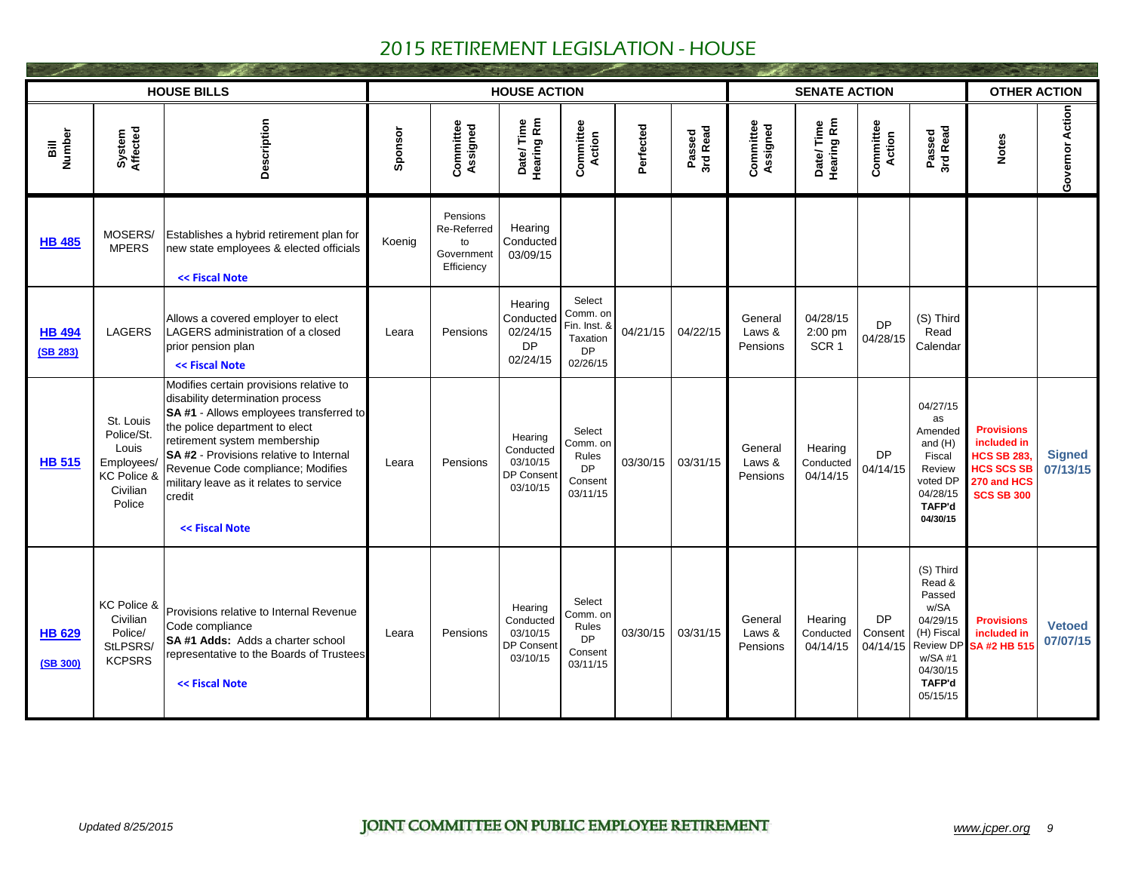|                           |                                                                                     | <b>HOUSE BILLS</b>                                                                                                                                                                                                                                                                                                                              |         |                                                           | <b>HOUSE ACTION</b>                                               |                                                                         |           |                    |                               | <b>SENATE ACTION</b>                    |                                  |                                                                                                                                    | <b>OTHER ACTION</b>                                                                                            |                           |
|---------------------------|-------------------------------------------------------------------------------------|-------------------------------------------------------------------------------------------------------------------------------------------------------------------------------------------------------------------------------------------------------------------------------------------------------------------------------------------------|---------|-----------------------------------------------------------|-------------------------------------------------------------------|-------------------------------------------------------------------------|-----------|--------------------|-------------------------------|-----------------------------------------|----------------------------------|------------------------------------------------------------------------------------------------------------------------------------|----------------------------------------------------------------------------------------------------------------|---------------------------|
| Number<br>ail             | System<br>Affected                                                                  | Description                                                                                                                                                                                                                                                                                                                                     | Sponsor | Committee<br>Assigned                                     | Date/Time<br>Hearing Rm                                           | Committee<br><b>Action</b>                                              | Perfected | Passed<br>3rd Read | Committee<br>Assigned         | Date/Time<br>Hearing Rm                 | <b>Committee</b><br>Action       | Passed<br>3rd Read                                                                                                                 | <b>Notes</b>                                                                                                   | Governor Action           |
| <b>HB 485</b>             | MOSERS/<br><b>MPERS</b>                                                             | Establishes a hybrid retirement plan for<br>new state employees & elected officials<br><< Fiscal Note                                                                                                                                                                                                                                           | Koenig  | Pensions<br>Re-Referred<br>to<br>Government<br>Efficiency | Hearing<br>Conducted<br>03/09/15                                  |                                                                         |           |                    |                               |                                         |                                  |                                                                                                                                    |                                                                                                                |                           |
| <b>HB 494</b><br>(SB 283) | <b>LAGERS</b>                                                                       | Allows a covered employer to elect<br>LAGERS administration of a closed<br>prior pension plan<br><< Fiscal Note                                                                                                                                                                                                                                 | Leara   | Pensions                                                  | Hearing<br>Conducted<br>02/24/15<br><b>DP</b><br>02/24/15         | Select<br>Comm. on<br>Fin. Inst. &<br>Taxation<br><b>DP</b><br>02/26/15 | 04/21/15  | 04/22/15           | General<br>Laws &<br>Pensions | 04/28/15<br>2:00 pm<br>SCR <sub>1</sub> | <b>DP</b><br>04/28/15            | (S) Third<br>Read<br>Calendar                                                                                                      |                                                                                                                |                           |
| <b>HB 515</b>             | St. Louis<br>Police/St.<br>Louis<br>Employees/<br>KC Police &<br>Civilian<br>Police | Modifies certain provisions relative to<br>disability determination process<br>SA #1 - Allows employees transferred to<br>the police department to elect<br>retirement system membership<br>SA #2 - Provisions relative to Internal<br>Revenue Code compliance; Modifies<br>military leave as it relates to service<br>credit<br><< Fiscal Note | Leara   | Pensions                                                  | Hearing<br>Conducted<br>03/10/15<br>DP Consent<br>03/10/15        | Select<br>Comm. on<br>Rules<br><b>DP</b><br>Consent<br>03/11/15         | 03/30/15  | 03/31/15           | General<br>Laws &<br>Pensions | Hearing<br>Conducted<br>04/14/15        | <b>DP</b><br>04/14/15            | 04/27/15<br>as<br>Amended<br>and $(H)$<br>Fiscal<br>Review<br>voted DP<br>04/28/15<br><b>TAFP'd</b><br>04/30/15                    | <b>Provisions</b><br>included in<br><b>HCS SB 283</b><br><b>HCS SCS SB</b><br>270 and HCS<br><b>SCS SB 300</b> | <b>Signed</b><br>07/13/15 |
| <b>HB 629</b><br>(SB 300) | KC Police &<br>Civilian<br>Police/<br>StLPSRS/<br><b>KCPSRS</b>                     | Provisions relative to Internal Revenue<br>Code compliance<br>SA #1 Adds: Adds a charter school<br>representative to the Boards of Trustees<br><< Fiscal Note                                                                                                                                                                                   | Leara   | Pensions                                                  | Hearing<br>Conducted<br>03/10/15<br><b>DP Consent</b><br>03/10/15 | Select<br>Comm. on<br>Rules<br><b>DP</b><br>Consent<br>03/11/15         | 03/30/15  | 03/31/15           | General<br>Laws &<br>Pensions | Hearing<br>Conducted<br>04/14/15        | <b>DP</b><br>Consent<br>04/14/15 | (S) Third<br>Read &<br>Passed<br>w/SA<br>04/29/15<br>(H) Fiscal<br><b>Review DP</b><br>$w/SA$ #1<br>04/30/15<br>TAFP'd<br>05/15/15 | <b>Provisions</b><br>included in<br>SA #2 HB 515                                                               | <b>Vetoed</b><br>07/07/15 |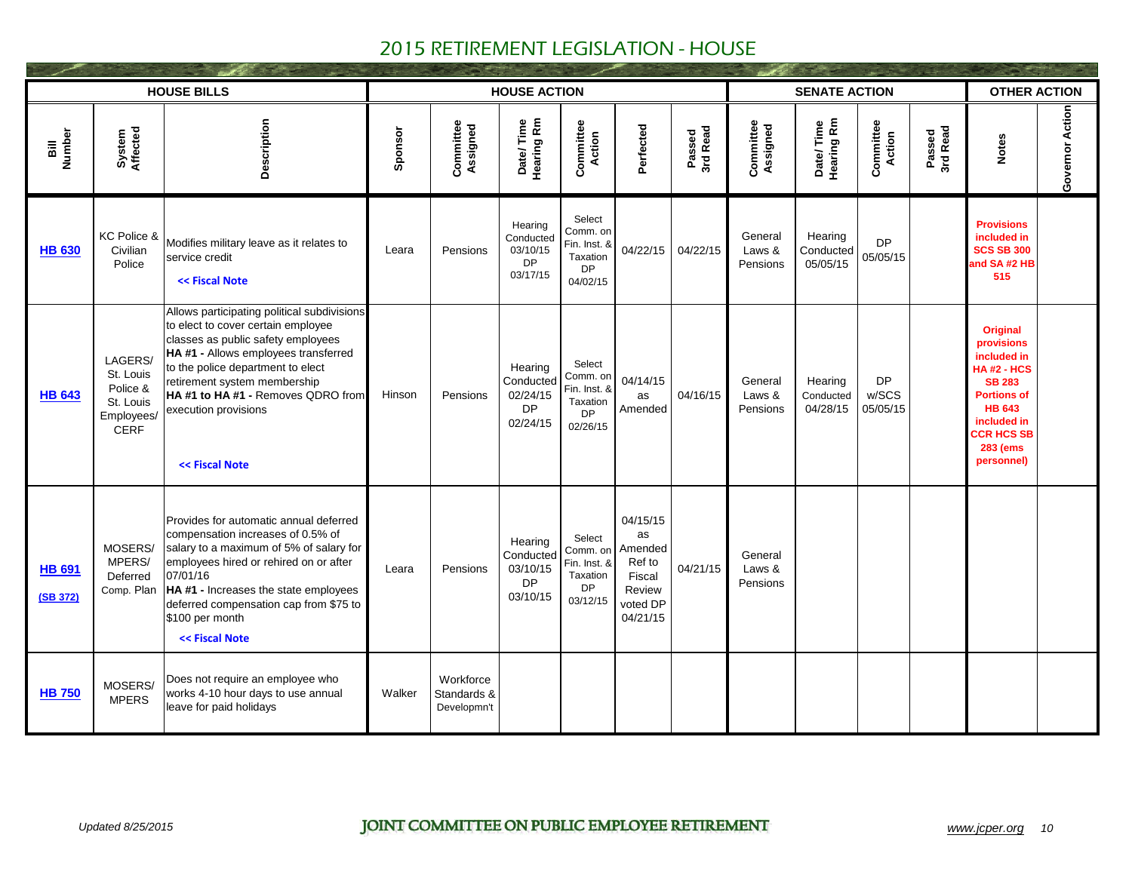|                           |                                                                            | <b>HOUSE BILLS</b>                                                                                                                                                                                                                                                                                                   |         |                                         | <b>HOUSE ACTION</b>                                       |                                                                         |                                                                                 |                    |                               | <b>SENATE ACTION</b>             |                                |                    | <b>OTHER ACTION</b>                                                                                                                                                                             |                 |
|---------------------------|----------------------------------------------------------------------------|----------------------------------------------------------------------------------------------------------------------------------------------------------------------------------------------------------------------------------------------------------------------------------------------------------------------|---------|-----------------------------------------|-----------------------------------------------------------|-------------------------------------------------------------------------|---------------------------------------------------------------------------------|--------------------|-------------------------------|----------------------------------|--------------------------------|--------------------|-------------------------------------------------------------------------------------------------------------------------------------------------------------------------------------------------|-----------------|
| Bill<br>Number            | System<br>Affected                                                         | Description                                                                                                                                                                                                                                                                                                          | Sponsor | Committee<br>Assigned                   | Date/Time<br>Hearing Rm                                   | Committee<br><b>Action</b>                                              | Perfected                                                                       | Passed<br>3rd Read | Committee<br>Assigned         | Date/Time<br>Hearing Rm          | <b>Committee</b><br>Action     | Passed<br>3rd Read | <b>Notes</b>                                                                                                                                                                                    | Governor Action |
| <b>HB 630</b>             | KC Police &<br>Civilian<br>Police                                          | Modifies military leave as it relates to<br>service credit<br><< Fiscal Note                                                                                                                                                                                                                                         | Leara   | Pensions                                | Hearing<br>Conducted<br>03/10/15<br><b>DP</b><br>03/17/15 | Select<br>Comm. on<br>Fin. Inst. &<br>Taxation<br>DP<br>04/02/15        | 04/22/15                                                                        | 04/22/15           | General<br>Laws &<br>Pensions | Hearing<br>Conducted<br>05/05/15 | <b>DP</b><br>05/05/15          |                    | <b>Provisions</b><br>included in<br><b>SCS SB 300</b><br>and SA #2 HB<br>515                                                                                                                    |                 |
| <b>HB 643</b>             | LAGERS/<br>St. Louis<br>Police &<br>St. Louis<br>Employees/<br><b>CERF</b> | Allows participating political subdivisions<br>to elect to cover certain employee<br>classes as public safety employees<br>HA #1 - Allows employees transferred<br>to the police department to elect<br>retirement system membership<br>HA #1 to HA #1 - Removes QDRO from<br>execution provisions<br><< Fiscal Note | Hinson  | Pensions                                | Hearing<br>Conducted<br>02/24/15<br><b>DP</b><br>02/24/15 | Select<br>Comm. on<br>Fin. Inst. &<br>Taxation<br><b>DP</b><br>02/26/15 | 04/14/15<br>as<br>Amended                                                       | 04/16/15           | General<br>Laws &<br>Pensions | Hearing<br>Conducted<br>04/28/15 | <b>DP</b><br>w/SCS<br>05/05/15 |                    | <b>Original</b><br>provisions<br>included in<br><b>HA#2 - HCS</b><br><b>SB 283</b><br><b>Portions of</b><br><b>HB 643</b><br>included in<br><b>CCR HCS SB</b><br><b>283 (ems)</b><br>personnel) |                 |
| <b>HB 691</b><br>(SB 372) | MOSERS/<br>MPERS/<br>Deferred<br>Comp. Plan                                | Provides for automatic annual deferred<br>compensation increases of 0.5% of<br>salary to a maximum of 5% of salary for<br>employees hired or rehired on or after<br>07/01/16<br><b>HA#1 - Increases the state employees</b><br>deferred compensation cap from \$75 to<br>\$100 per month<br><< Fiscal Note           | Leara   | Pensions                                | Hearing<br>Conducted<br>03/10/15<br>DP<br>03/10/15        | Select<br>Comm. on<br>Fin. Inst. &<br>Taxation<br><b>DP</b><br>03/12/15 | 04/15/15<br>as<br>Amended<br>Ref to<br>Fiscal<br>Review<br>voted DP<br>04/21/15 | 04/21/15           | General<br>Laws &<br>Pensions |                                  |                                |                    |                                                                                                                                                                                                 |                 |
| <b>HB 750</b>             | MOSERS/<br><b>MPERS</b>                                                    | Does not require an employee who<br>works 4-10 hour days to use annual<br>leave for paid holidays                                                                                                                                                                                                                    | Walker  | Workforce<br>Standards &<br>Developmn't |                                                           |                                                                         |                                                                                 |                    |                               |                                  |                                |                    |                                                                                                                                                                                                 |                 |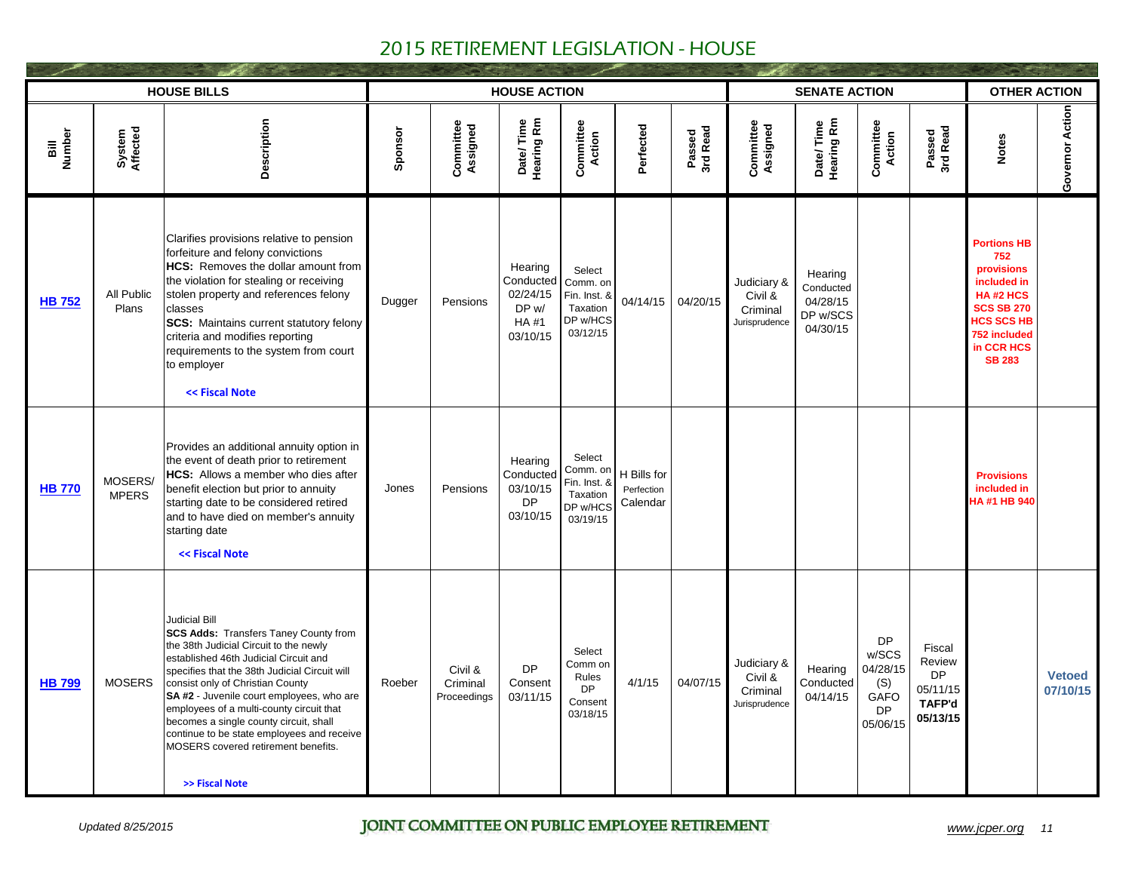|                                              |                         | <b>HOUSE BILLS</b>                                                                                                                                                                                                                                                                                                                                                                                                                                                                     |         |                                    | <b>HOUSE ACTION</b>                                                  |                                                                        |                                       |                    |                                                     | <b>SENATE ACTION</b>                                     |                                                                 |                                                                        | <b>OTHER ACTION</b>                                                                                                                                         |                           |
|----------------------------------------------|-------------------------|----------------------------------------------------------------------------------------------------------------------------------------------------------------------------------------------------------------------------------------------------------------------------------------------------------------------------------------------------------------------------------------------------------------------------------------------------------------------------------------|---------|------------------------------------|----------------------------------------------------------------------|------------------------------------------------------------------------|---------------------------------------|--------------------|-----------------------------------------------------|----------------------------------------------------------|-----------------------------------------------------------------|------------------------------------------------------------------------|-------------------------------------------------------------------------------------------------------------------------------------------------------------|---------------------------|
| Number<br>$\overline{\overline{\mathbf{a}}}$ | System<br>Affected      | Description                                                                                                                                                                                                                                                                                                                                                                                                                                                                            | Sponsor | Committee<br>Assigned              | Date/Time<br>Hearing Rm                                              | <b>Committee</b><br>Action                                             | Perfected                             | Passed<br>3rd Read | Committee<br>Assigned                               | Date/Time<br>Hearing Rm                                  | <b>Committee</b><br>Action                                      | Passed<br>3rd Read                                                     | <b>Notes</b>                                                                                                                                                | Governor Action           |
| <b>HB 752</b>                                | All Public<br>Plans     | Clarifies provisions relative to pension<br>forfeiture and felony convictions<br>HCS: Removes the dollar amount from<br>the violation for stealing or receiving<br>stolen property and references felony<br>classes<br><b>SCS:</b> Maintains current statutory felony<br>criteria and modifies reporting<br>requirements to the system from court<br>to employer<br><< Fiscal Note                                                                                                     | Dugger  | Pensions                           | Hearing<br>Conducted<br>02/24/15<br>DP w/<br><b>HA#1</b><br>03/10/15 | Select<br>Comm. on<br>Fin. Inst. &<br>Taxation<br>DP w/HCS<br>03/12/15 | 04/14/15                              | 04/20/15           | Judiciary &<br>Civil &<br>Criminal<br>Jurisprudence | Hearing<br>Conducted<br>04/28/15<br>DP w/SCS<br>04/30/15 |                                                                 |                                                                        | <b>Portions HB</b><br>752<br>provisions<br>included in<br>HA#2 HCS<br><b>SCS SB 270</b><br><b>HCS SCS HB</b><br>752 included<br>in CCR HCS<br><b>SB 283</b> |                           |
| <b>HB 770</b>                                | MOSERS/<br><b>MPERS</b> | Provides an additional annuity option in<br>the event of death prior to retirement<br><b>HCS:</b> Allows a member who dies after<br>benefit election but prior to annuity<br>starting date to be considered retired<br>and to have died on member's annuity<br>starting date<br><< Fiscal Note                                                                                                                                                                                         | Jones   | Pensions                           | Hearing<br>Conducted<br>03/10/15<br><b>DP</b><br>03/10/15            | Select<br>Comm. on<br>Fin. Inst. &<br>Taxation<br>DP w/HCS<br>03/19/15 | H Bills for<br>Perfection<br>Calendar |                    |                                                     |                                                          |                                                                 |                                                                        | <b>Provisions</b><br>included in<br>HA #1 HB 940                                                                                                            |                           |
| <b>HB 799</b>                                | <b>MOSERS</b>           | <b>Judicial Bill</b><br><b>SCS Adds: Transfers Taney County from</b><br>the 38th Judicial Circuit to the newly<br>established 46th Judicial Circuit and<br>specifies that the 38th Judicial Circuit will<br>consist only of Christian County<br>SA #2 - Juvenile court employees, who are<br>employees of a multi-county circuit that<br>becomes a single county circuit, shall<br>continue to be state employees and receive<br>MOSERS covered retirement benefits.<br>>> Fiscal Note | Roeber  | Civil &<br>Criminal<br>Proceedings | <b>DP</b><br>Consent<br>03/11/15                                     | Select<br>Comm on<br>Rules<br><b>DP</b><br>Consent<br>03/18/15         | 4/1/15                                | 04/07/15           | Judiciary &<br>Civil &<br>Criminal<br>Jurisprudence | Hearing<br>Conducted<br>04/14/15                         | <b>DP</b><br>w/SCS<br>04/28/15<br>(S)<br>GAFO<br>DP<br>05/06/15 | Fiscal<br>Review<br><b>DP</b><br>05/11/15<br><b>TAFP'd</b><br>05/13/15 |                                                                                                                                                             | <b>Vetoed</b><br>07/10/15 |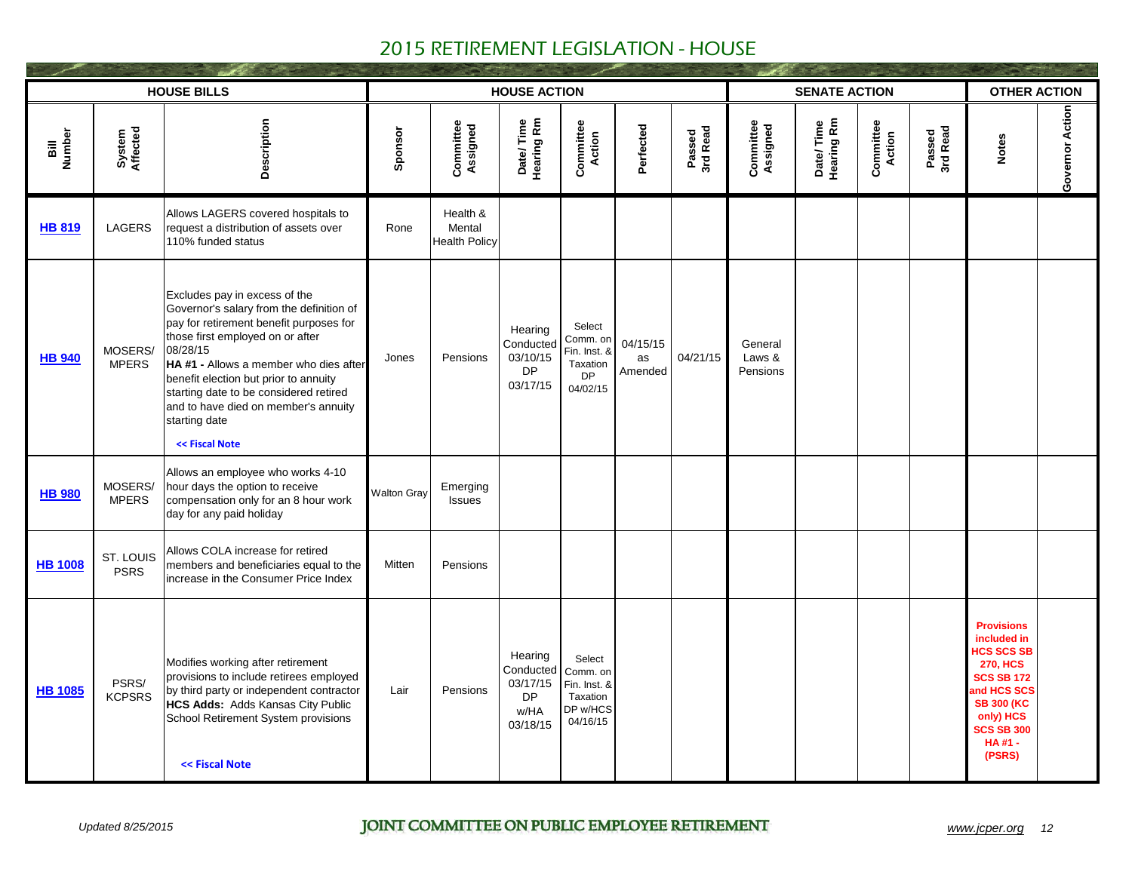|                |                          | <b>HOUSE BILLS</b>                                                                                                                                                                                                                                                                                                                                                           |                    |                                            | <b>HOUSE ACTION</b>                                               |                                                                         |                           |                    |                               | <b>SENATE ACTION</b>    |                            |                    | <b>OTHER ACTION</b>                                                                                                                                                                    |                 |
|----------------|--------------------------|------------------------------------------------------------------------------------------------------------------------------------------------------------------------------------------------------------------------------------------------------------------------------------------------------------------------------------------------------------------------------|--------------------|--------------------------------------------|-------------------------------------------------------------------|-------------------------------------------------------------------------|---------------------------|--------------------|-------------------------------|-------------------------|----------------------------|--------------------|----------------------------------------------------------------------------------------------------------------------------------------------------------------------------------------|-----------------|
| Bill<br>Number | System<br>Affected       | Description                                                                                                                                                                                                                                                                                                                                                                  | Sponsor            | Committee<br>Assigned                      | Date/Time<br>Hearing Rm                                           | <b>Committee</b><br>Action                                              | Perfected                 | Passed<br>3rd Read | Committee<br>Assigned         | Date/Time<br>Hearing Rm | <b>Committee</b><br>Action | Passed<br>3rd Read | <b>Notes</b>                                                                                                                                                                           | Governor Action |
| <b>HB 819</b>  | <b>LAGERS</b>            | Allows LAGERS covered hospitals to<br>request a distribution of assets over<br>110% funded status                                                                                                                                                                                                                                                                            | Rone               | Health &<br>Mental<br><b>Health Policy</b> |                                                                   |                                                                         |                           |                    |                               |                         |                            |                    |                                                                                                                                                                                        |                 |
| <b>HB 940</b>  | MOSERS/<br><b>MPERS</b>  | Excludes pay in excess of the<br>Governor's salary from the definition of<br>pay for retirement benefit purposes for<br>those first employed on or after<br>08/28/15<br>HA #1 - Allows a member who dies after<br>benefit election but prior to annuity<br>starting date to be considered retired<br>and to have died on member's annuity<br>starting date<br><< Fiscal Note | Jones              | Pensions                                   | Hearing<br>Conducted<br>03/10/15<br>DP<br>03/17/15                | Select<br>Comm. on<br>Fin. Inst. &<br>Taxation<br><b>DP</b><br>04/02/15 | 04/15/15<br>as<br>Amended | 04/21/15           | General<br>Laws &<br>Pensions |                         |                            |                    |                                                                                                                                                                                        |                 |
| <b>HB 980</b>  | MOSERS/<br><b>MPERS</b>  | Allows an employee who works 4-10<br>hour days the option to receive<br>compensation only for an 8 hour work<br>day for any paid holiday                                                                                                                                                                                                                                     | <b>Walton Gray</b> | Emerging<br>Issues                         |                                                                   |                                                                         |                           |                    |                               |                         |                            |                    |                                                                                                                                                                                        |                 |
| <b>HB 1008</b> | ST. LOUIS<br><b>PSRS</b> | Allows COLA increase for retired<br>members and beneficiaries equal to the<br>increase in the Consumer Price Index                                                                                                                                                                                                                                                           | Mitten             | Pensions                                   |                                                                   |                                                                         |                           |                    |                               |                         |                            |                    |                                                                                                                                                                                        |                 |
| <b>HB 1085</b> | PSRS/<br><b>KCPSRS</b>   | Modifies working after retirement<br>provisions to include retirees employed<br>by third party or independent contractor<br>HCS Adds: Adds Kansas City Public<br>School Retirement System provisions<br><< Fiscal Note                                                                                                                                                       | Lair               | Pensions                                   | Hearing<br>Conducted<br>03/17/15<br><b>DP</b><br>w/HA<br>03/18/15 | Select<br>Comm. on<br>Fin. Inst. &<br>Taxation<br>DP w/HCS<br>04/16/15  |                           |                    |                               |                         |                            |                    | <b>Provisions</b><br>included in<br><b>HCS SCS SE</b><br><b>270. HCS</b><br><b>SCS SB 172</b><br>and HCS SCS<br><b>SB 300 (KC</b><br>only) HCS<br><b>SCS SB 300</b><br>HA#1-<br>(PSRS) |                 |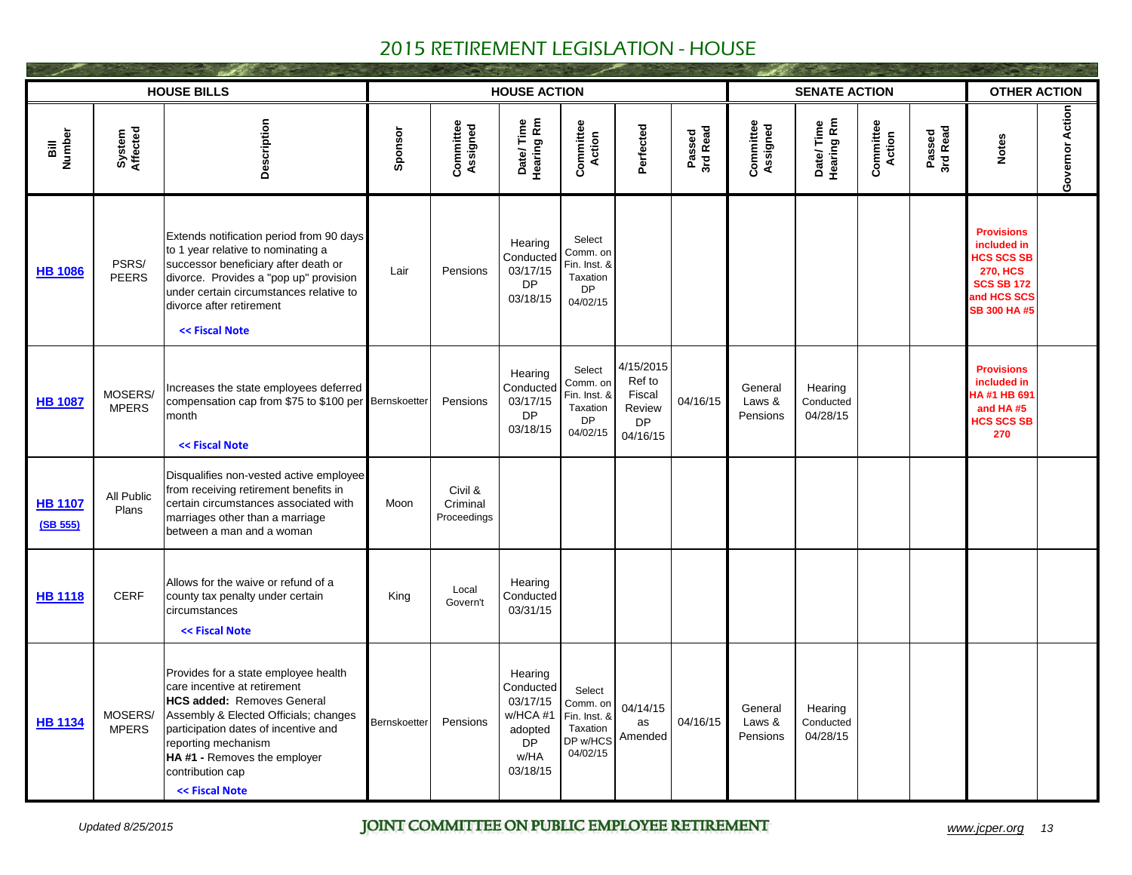|                            |                         | <b>HOUSE BILLS</b>                                                                                                                                                                                                                                                                     |              |                                    | <b>SENATE ACTION</b>                                                                     |                                                                         |                                                                  |                    | <b>OTHER ACTION</b>           |                                  |                            |                    |                                                                                                                                    |                 |
|----------------------------|-------------------------|----------------------------------------------------------------------------------------------------------------------------------------------------------------------------------------------------------------------------------------------------------------------------------------|--------------|------------------------------------|------------------------------------------------------------------------------------------|-------------------------------------------------------------------------|------------------------------------------------------------------|--------------------|-------------------------------|----------------------------------|----------------------------|--------------------|------------------------------------------------------------------------------------------------------------------------------------|-----------------|
| Bill<br>Number             | System<br>Affected      | Description                                                                                                                                                                                                                                                                            | Sponsor      | Committee<br>Assigned              | Date/Time<br>Hearing Rm                                                                  | <b>Committee</b><br>Action                                              | Perfected                                                        | Passed<br>3rd Read | Committee<br>Assigned         | Date/Time<br>Hearing Rm          | <b>Committee</b><br>Action | Passed<br>3rd Read | <b>Notes</b>                                                                                                                       | Governor Action |
| <b>HB 1086</b>             | PSRS/<br><b>PEERS</b>   | Extends notification period from 90 days<br>to 1 year relative to nominating a<br>successor beneficiary after death or<br>divorce. Provides a "pop up" provision<br>under certain circumstances relative to<br>divorce after retirement<br><< Fiscal Note                              | Lair         | Pensions                           | Hearing<br>Conducted<br>03/17/15<br><b>DP</b><br>03/18/15                                | Select<br>Comm. on<br>Fin. Inst. &<br>Taxation<br><b>DP</b><br>04/02/15 |                                                                  |                    |                               |                                  |                            |                    | <b>Provisions</b><br>included in<br><b>HCS SCS SE</b><br><b>270. HCS</b><br><b>SCS SB 172</b><br>and HCS SCS<br><b>SB 300 HA#5</b> |                 |
| <b>HB 1087</b>             | MOSERS/<br><b>MPERS</b> | Increases the state employees deferred<br>compensation cap from \$75 to \$100 per Bernskoetter<br>month<br><< Fiscal Note                                                                                                                                                              |              | Pensions                           | Hearing<br>Conducted<br>03/17/15<br><b>DP</b><br>03/18/15                                | Select<br>Comm. on<br>Fin. Inst. &<br>Taxation<br><b>DP</b><br>04/02/15 | 4/15/2015<br>Ref to<br>Fiscal<br>Review<br><b>DP</b><br>04/16/15 | 04/16/15           | General<br>Laws &<br>Pensions | Hearing<br>Conducted<br>04/28/15 |                            |                    | <b>Provisions</b><br>included in<br>HA#1 HB 691<br>and HA#5<br><b>HCS SCS SB</b><br>270                                            |                 |
| <b>HB 1107</b><br>(SB 555) | All Public<br>Plans     | Disqualifies non-vested active employee<br>from receiving retirement benefits in<br>certain circumstances associated with<br>marriages other than a marriage<br>between a man and a woman                                                                                              | Moon         | Civil &<br>Criminal<br>Proceedings |                                                                                          |                                                                         |                                                                  |                    |                               |                                  |                            |                    |                                                                                                                                    |                 |
| <b>HB 1118</b>             | <b>CERF</b>             | Allows for the waive or refund of a<br>county tax penalty under certain<br>circumstances<br><< Fiscal Note                                                                                                                                                                             | King         | Local<br>Govern't                  | Hearing<br>Conducted<br>03/31/15                                                         |                                                                         |                                                                  |                    |                               |                                  |                            |                    |                                                                                                                                    |                 |
| <b>HB 1134</b>             | MOSERS/<br><b>MPERS</b> | Provides for a state employee health<br>care incentive at retirement<br><b>HCS added: Removes General</b><br>Assembly & Elected Officials; changes<br>participation dates of incentive and<br>reporting mechanism<br>HA#1 - Removes the employer<br>contribution cap<br><< Fiscal Note | Bernskoetter | Pensions                           | Hearing<br>Conducted<br>03/17/15<br>w/HCA #1<br>adopted<br><b>DP</b><br>w/HA<br>03/18/15 | Select<br>Comm. on<br>Fin. Inst. &<br>Taxation<br>DP w/HCS<br>04/02/15  | 04/14/15<br>as<br>Amended                                        | 04/16/15           | General<br>Laws &<br>Pensions | Hearing<br>Conducted<br>04/28/15 |                            |                    |                                                                                                                                    |                 |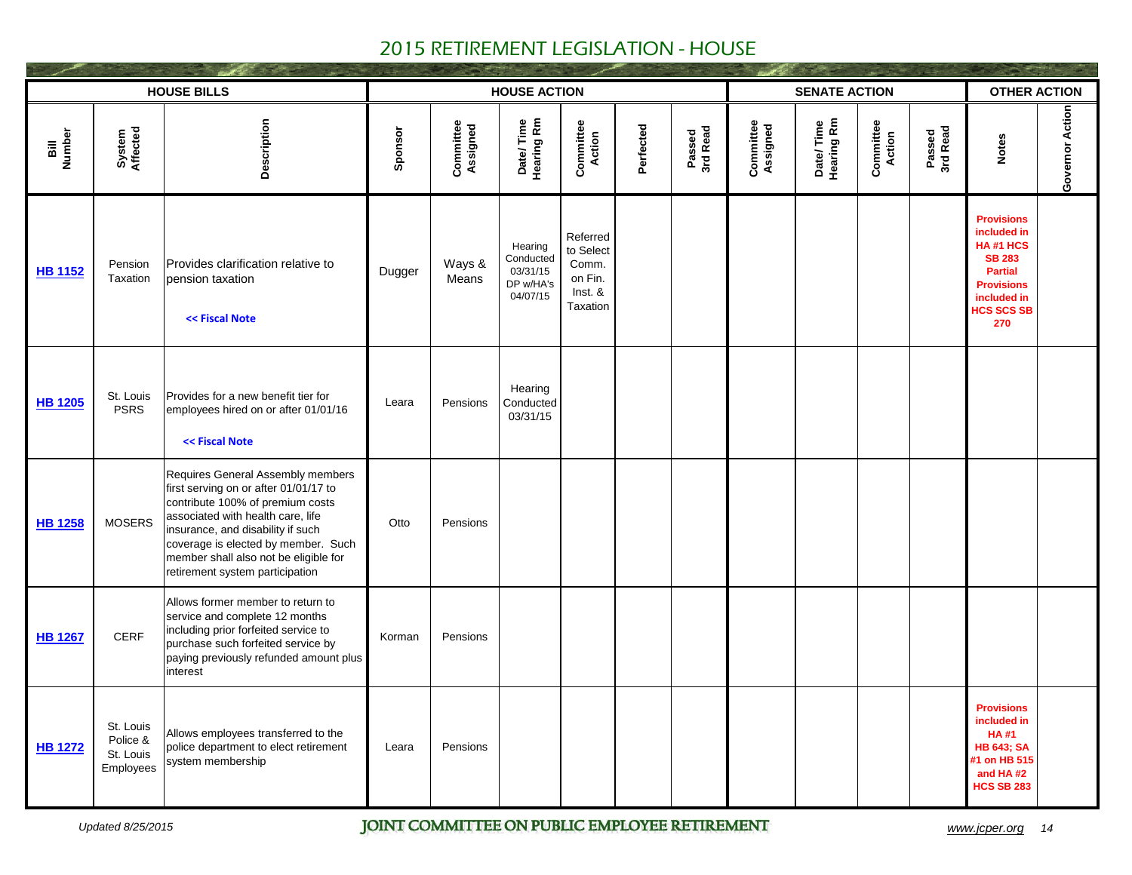| <b>HOUSE BILLS</b> |                                                 |                                                                                                                                                                                                                                                                                                             |         |                       |                                                           | <b>SENATE ACTION</b>                                             | <b>OTHER ACTION</b> |                    |                       |                         |                            |                    |                                                                                                                                                 |                 |
|--------------------|-------------------------------------------------|-------------------------------------------------------------------------------------------------------------------------------------------------------------------------------------------------------------------------------------------------------------------------------------------------------------|---------|-----------------------|-----------------------------------------------------------|------------------------------------------------------------------|---------------------|--------------------|-----------------------|-------------------------|----------------------------|--------------------|-------------------------------------------------------------------------------------------------------------------------------------------------|-----------------|
| Bill<br>Number     | System<br>Affected                              | Description                                                                                                                                                                                                                                                                                                 | Sponsor | Committee<br>Assigned | Date/Time<br>Hearing Rm                                   | <b>Committee</b><br>Action                                       | Perfected           | Passed<br>3rd Read | Committee<br>Assigned | Date/Time<br>Hearing Rm | <b>Committee</b><br>Action | Passed<br>3rd Read | <b>Notes</b>                                                                                                                                    | Governor Action |
| <b>HB 1152</b>     | Pension<br>Taxation                             | Provides clarification relative to<br>pension taxation<br><< Fiscal Note                                                                                                                                                                                                                                    | Dugger  | Ways &<br>Means       | Hearing<br>Conducted<br>03/31/15<br>DP w/HA's<br>04/07/15 | Referred<br>to Select<br>Comm.<br>on Fin.<br>Inst. &<br>Taxation |                     |                    |                       |                         |                            |                    | <b>Provisions</b><br>included in<br>HA#1 HCS<br><b>SB 283</b><br><b>Partial</b><br><b>Provisions</b><br>included in<br><b>HCS SCS SB</b><br>270 |                 |
| <b>HB 1205</b>     | St. Louis<br><b>PSRS</b>                        | Provides for a new benefit tier for<br>employees hired on or after 01/01/16<br><< Fiscal Note                                                                                                                                                                                                               | Leara   | Pensions              | Hearing<br>Conducted<br>03/31/15                          |                                                                  |                     |                    |                       |                         |                            |                    |                                                                                                                                                 |                 |
| <b>HB 1258</b>     | <b>MOSERS</b>                                   | Requires General Assembly members<br>first serving on or after 01/01/17 to<br>contribute 100% of premium costs<br>associated with health care, life<br>insurance, and disability if such<br>coverage is elected by member. Such<br>member shall also not be eligible for<br>retirement system participation | Otto    | Pensions              |                                                           |                                                                  |                     |                    |                       |                         |                            |                    |                                                                                                                                                 |                 |
| <b>HB 1267</b>     | <b>CERF</b>                                     | Allows former member to return to<br>service and complete 12 months<br>including prior forfeited service to<br>purchase such forfeited service by<br>paying previously refunded amount plus<br>interest                                                                                                     | Korman  | Pensions              |                                                           |                                                                  |                     |                    |                       |                         |                            |                    |                                                                                                                                                 |                 |
| <b>HB 1272</b>     | St. Louis<br>Police &<br>St. Louis<br>Employees | Allows employees transferred to the<br>police department to elect retirement<br>system membership                                                                                                                                                                                                           | Leara   | Pensions              |                                                           |                                                                  |                     |                    |                       |                         |                            |                    | <b>Provisions</b><br>included in<br><b>HA#1</b><br><b>HB 643; SA</b><br>#1 on HB 515<br>and HA#2<br><b>HCS SB 283</b>                           |                 |